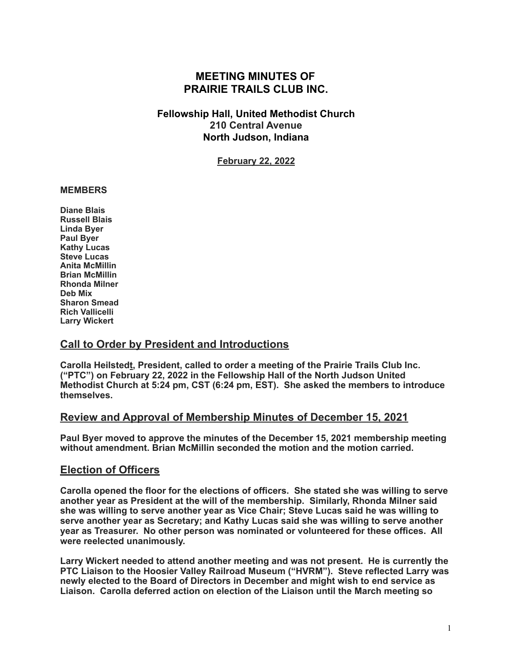# **MEETING MINUTES OF PRAIRIE TRAILS CLUB INC.**

## **Fellowship Hall, United Methodist Church 210 Central Avenue North Judson, Indiana**

**February 22, 2022**

### **MEMBERS**

**Diane Blais Russell Blais Linda Byer Paul Byer Kathy Lucas Steve Lucas Anita McMillin Brian McMillin Rhonda Milner Deb Mix Sharon Smead Rich Vallicelli Larry Wickert** 

## **Call to Order by President and Introductions**

**Carolla Heilstedt, President, called to order a meeting of the Prairie Trails Club Inc. ("PTC") on February 22, 2022 in the Fellowship Hall of the North Judson United Methodist Church at 5:24 pm, CST (6:24 pm, EST). She asked the members to introduce themselves.** 

## **Review and Approval of Membership Minutes of December 15, 2021**

**Paul Byer moved to approve the minutes of the December 15, 2021 membership meeting without amendment. Brian McMillin seconded the motion and the motion carried.** 

## **Election of Officers**

**Carolla opened the floor for the elections of officers. She stated she was willing to serve another year as President at the will of the membership. Similarly, Rhonda Milner said she was willing to serve another year as Vice Chair; Steve Lucas said he was willing to serve another year as Secretary; and Kathy Lucas said she was willing to serve another year as Treasurer. No other person was nominated or volunteered for these offices. All were reelected unanimously.** 

**Larry Wickert needed to attend another meeting and was not present. He is currently the PTC Liaison to the Hoosier Valley Railroad Museum ("HVRM"). Steve reflected Larry was newly elected to the Board of Directors in December and might wish to end service as Liaison. Carolla deferred action on election of the Liaison until the March meeting so**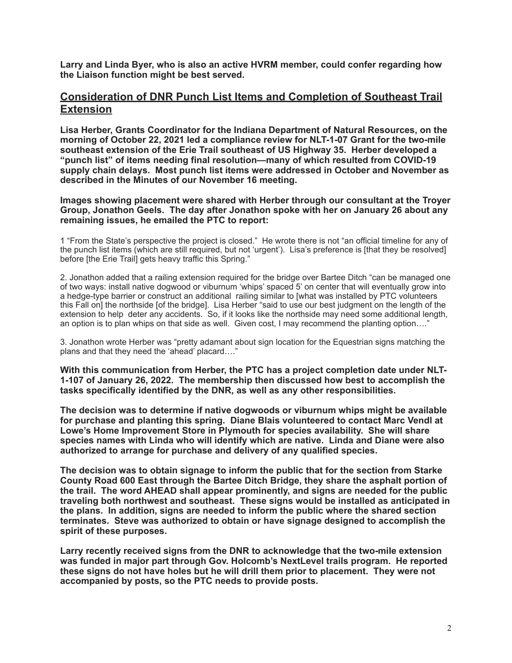**Larry and Linda Byer, who is also an active HVRM member, could confer regarding how the Liaison function might be best served.** 

### **Consideration of DNR Punch List Items and Completion of Southeast Trail Extension**

**Lisa Herber, Grants Coordinator for the Indiana Department of Natural Resources, on the morning of October 22, 2021 led a compliance review for NLT-1-07 Grant for the two-mile southeast extension of the Erie Trail southeast of US Highway 35. Herber developed a "punch list" of items needing final resolution—many of which resulted from COVID-19 supply chain delays. Most punch list items were addressed in October and November as described in the Minutes of our November 16 meeting.** 

**Images showing placement were shared with Herber through our consultant at the Troyer Group, Jonathon Geels. The day after Jonathon spoke with her on January 26 about any remaining issues, he emailed the PTC to report:** 

1 "From the State's perspective the project is closed." He wrote there is not "an official timeline for any of the punch list items (which are still required, but not 'urgent'). Lisa's preference is [that they be resolved] before [the Erie Trail] gets heavy traffic this Spring."

2. Jonathon added that a railing extension required for the bridge over Bartee Ditch "can be managed one of two ways: install native dogwood or viburnum 'whips' spaced 5' on center that will eventually grow into a hedge-type barrier or construct an additional railing similar to [what was installed by PTC volunteers this Fall on] the northside [of the bridge]. Lisa Herber "said to use our best judgment on the length of the extension to help deter any accidents. So, if it looks like the northside may need some additional length, an option is to plan whips on that side as well. Given cost, I may recommend the planting option…."

3. Jonathon wrote Herber was "pretty adamant about sign location for the Equestrian signs matching the plans and that they need the 'ahead' placard…."

**With this communication from Herber, the PTC has a project completion date under NLT-1-107 of January 26, 2022. The membership then discussed how best to accomplish the tasks specifically identified by the DNR, as well as any other responsibilities.** 

**The decision was to determine if native dogwoods or viburnum whips might be available for purchase and planting this spring. Diane Blais volunteered to contact Marc Vendl at Lowe's Home Improvement Store in Plymouth for species availability. She will share species names with Linda who will identify which are native. Linda and Diane were also authorized to arrange for purchase and delivery of any qualified species.** 

**The decision was to obtain signage to inform the public that for the section from Starke County Road 600 East through the Bartee Ditch Bridge, they share the asphalt portion of the trail. The word AHEAD shall appear prominently, and signs are needed for the public traveling both northwest and southeast. These signs would be installed as anticipated in the plans. In addition, signs are needed to inform the public where the shared section terminates. Steve was authorized to obtain or have signage designed to accomplish the spirit of these purposes.** 

**Larry recently received signs from the DNR to acknowledge that the two-mile extension was funded in major part through Gov. Holcomb's NextLevel trails program. He reported these signs do not have holes but he will drill them prior to placement. They were not accompanied by posts, so the PTC needs to provide posts.**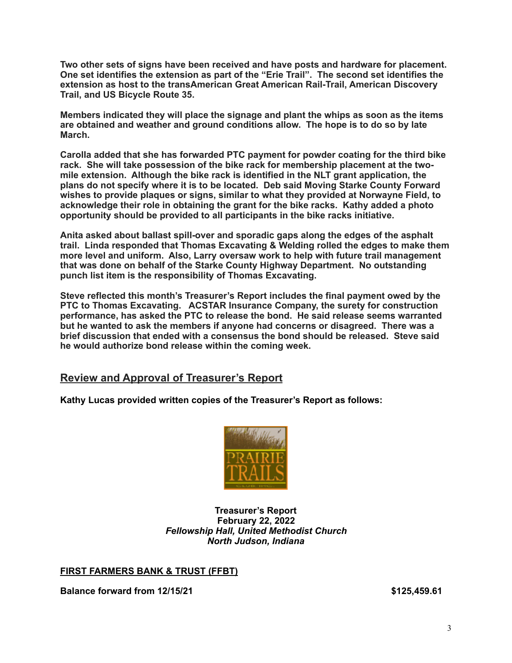**Two other sets of signs have been received and have posts and hardware for placement. One set identifies the extension as part of the "Erie Trail". The second set identifies the extension as host to the transAmerican Great American Rail-Trail, American Discovery Trail, and US Bicycle Route 35.** 

**Members indicated they will place the signage and plant the whips as soon as the items are obtained and weather and ground conditions allow. The hope is to do so by late March.** 

**Carolla added that she has forwarded PTC payment for powder coating for the third bike rack. She will take possession of the bike rack for membership placement at the twomile extension. Although the bike rack is identified in the NLT grant application, the plans do not specify where it is to be located. Deb said Moving Starke County Forward wishes to provide plaques or signs, similar to what they provided at Norwayne Field, to acknowledge their role in obtaining the grant for the bike racks. Kathy added a photo opportunity should be provided to all participants in the bike racks initiative.** 

**Anita asked about ballast spill-over and sporadic gaps along the edges of the asphalt trail. Linda responded that Thomas Excavating & Welding rolled the edges to make them more level and uniform. Also, Larry oversaw work to help with future trail management that was done on behalf of the Starke County Highway Department. No outstanding punch list item is the responsibility of Thomas Excavating.** 

**Steve reflected this month's Treasurer's Report includes the final payment owed by the PTC to Thomas Excavating. ACSTAR Insurance Company, the surety for construction performance, has asked the PTC to release the bond. He said release seems warranted but he wanted to ask the members if anyone had concerns or disagreed. There was a brief discussion that ended with a consensus the bond should be released. Steve said he would authorize bond release within the coming week.** 

## **Review and Approval of Treasurer's Report**

**Kathy Lucas provided written copies of the Treasurer's Report as follows:** 



#### **Treasurer's Report February 22, 2022**  *Fellowship Hall, United Methodist Church North Judson, Indiana*

### **FIRST FARMERS BANK & TRUST (FFBT)**

**Balance forward from 12/15/21 \$125,459.61**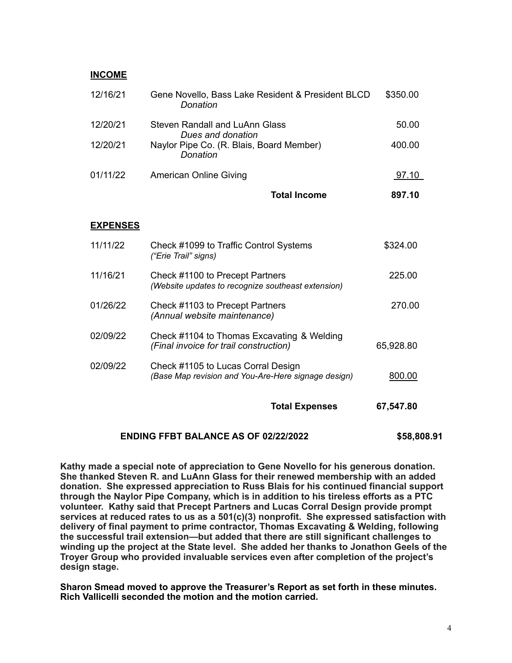#### **INCOME**

| 12/16/21 | Gene Novello, Bass Lake Resident & President BLCD<br>Donation | \$350.00 |
|----------|---------------------------------------------------------------|----------|
| 12/20/21 | Steven Randall and LuAnn Glass<br>Dues and donation           | 50.00    |
| 12/20/21 | Naylor Pipe Co. (R. Blais, Board Member)<br>Donation          | 400.00   |
| 01/11/22 | American Online Giving                                        | 97.10    |
|          | Total Income                                                  | 897.10   |

#### **EXPENSES**

|          | <b>Total Expenses</b>                                                                     | 67,547.80 |
|----------|-------------------------------------------------------------------------------------------|-----------|
| 02/09/22 | Check #1105 to Lucas Corral Design<br>(Base Map revision and You-Are-Here signage design) | 800.00    |
| 02/09/22 | Check #1104 to Thomas Excavating & Welding<br>(Final invoice for trail construction)      | 65,928.80 |
| 01/26/22 | Check #1103 to Precept Partners<br>(Annual website maintenance)                           | 270.00    |
| 11/16/21 | Check #1100 to Precept Partners<br>(Website updates to recognize southeast extension)     | 225.00    |
| 11/11/22 | Check #1099 to Traffic Control Systems<br>("Erie Trail" signs)                            | \$324.00  |

#### **ENDING FFBT BALANCE AS OF 02/22/2022 \$58,808.91**

**Kathy made a special note of appreciation to Gene Novello for his generous donation. She thanked Steven R. and LuAnn Glass for their renewed membership with an added donation. She expressed appreciation to Russ Blais for his continued financial support through the Naylor Pipe Company, which is in addition to his tireless efforts as a PTC volunteer. Kathy said that Precept Partners and Lucas Corral Design provide prompt services at reduced rates to us as a 501(c)(3) nonprofit. She expressed satisfaction with delivery of final payment to prime contractor, Thomas Excavating & Welding, following the successful trail extension—but added that there are still significant challenges to winding up the project at the State level. She added her thanks to Jonathon Geels of the Troyer Group who provided invaluable services even after completion of the project's design stage.** 

**Sharon Smead moved to approve the Treasurer's Report as set forth in these minutes. Rich Vallicelli seconded the motion and the motion carried.**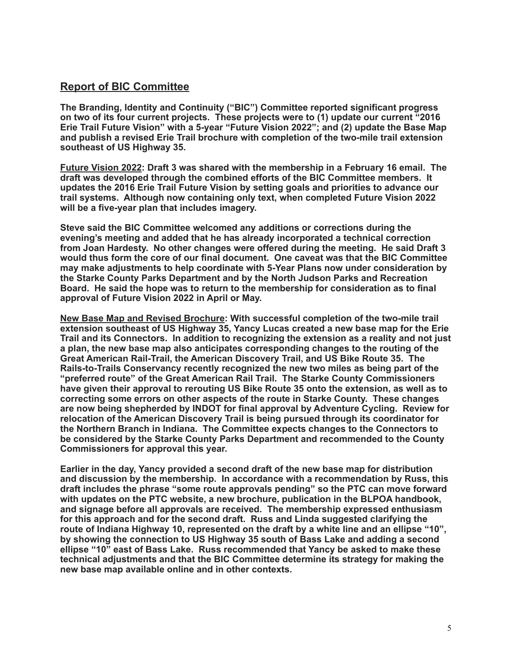# **Report of BIC Committee**

**The Branding, Identity and Continuity ("BIC") Committee reported significant progress on two of its four current projects. These projects were to (1) update our current "2016 Erie Trail Future Vision" with a 5-year "Future Vision 2022"; and (2) update the Base Map and publish a revised Erie Trail brochure with completion of the two-mile trail extension southeast of US Highway 35.** 

**Future Vision 2022: Draft 3 was shared with the membership in a February 16 email. The draft was developed through the combined efforts of the BIC Committee members. It updates the 2016 Erie Trail Future Vision by setting goals and priorities to advance our trail systems. Although now containing only text, when completed Future Vision 2022 will be a five-year plan that includes imagery.** 

**Steve said the BIC Committee welcomed any additions or corrections during the evening's meeting and added that he has already incorporated a technical correction from Joan Hardesty. No other changes were offered during the meeting. He said Draft 3 would thus form the core of our final document. One caveat was that the BIC Committee may make adjustments to help coordinate with 5-Year Plans now under consideration by the Starke County Parks Department and by the North Judson Parks and Recreation Board. He said the hope was to return to the membership for consideration as to final approval of Future Vision 2022 in April or May.** 

**New Base Map and Revised Brochure: With successful completion of the two-mile trail extension southeast of US Highway 35, Yancy Lucas created a new base map for the Erie Trail and its Connectors. In addition to recognizing the extension as a reality and not just a plan, the new base map also anticipates corresponding changes to the routing of the Great American Rail-Trail, the American Discovery Trail, and US Bike Route 35. The Rails-to-Trails Conservancy recently recognized the new two miles as being part of the "preferred route" of the Great American Rail Trail. The Starke County Commissioners have given their approval to rerouting US Bike Route 35 onto the extension, as well as to correcting some errors on other aspects of the route in Starke County. These changes are now being shepherded by INDOT for final approval by Adventure Cycling. Review for relocation of the American Discovery Trail is being pursued through its coordinator for the Northern Branch in Indiana. The Committee expects changes to the Connectors to be considered by the Starke County Parks Department and recommended to the County Commissioners for approval this year.** 

**Earlier in the day, Yancy provided a second draft of the new base map for distribution and discussion by the membership. In accordance with a recommendation by Russ, this draft includes the phrase "some route approvals pending" so the PTC can move forward with updates on the PTC website, a new brochure, publication in the BLPOA handbook, and signage before all approvals are received. The membership expressed enthusiasm for this approach and for the second draft. Russ and Linda suggested clarifying the route of Indiana Highway 10, represented on the draft by a white line and an ellipse "10", by showing the connection to US Highway 35 south of Bass Lake and adding a second ellipse "10" east of Bass Lake. Russ recommended that Yancy be asked to make these technical adjustments and that the BIC Committee determine its strategy for making the new base map available online and in other contexts.**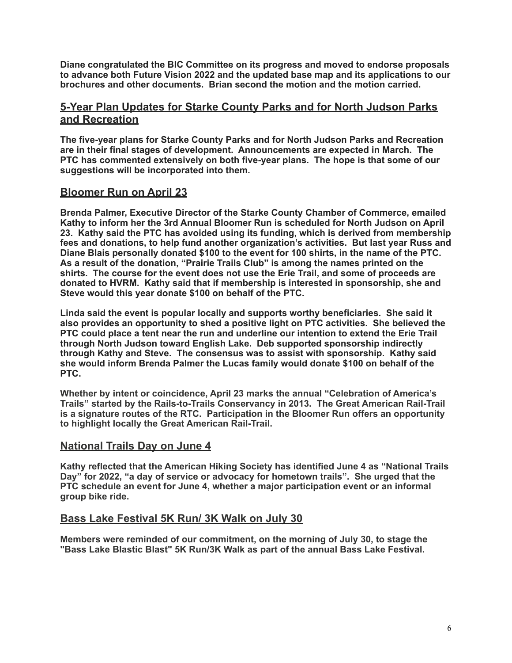**Diane congratulated the BIC Committee on its progress and moved to endorse proposals to advance both Future Vision 2022 and the updated base map and its applications to our brochures and other documents. Brian second the motion and the motion carried.** 

## **5-Year Plan Updates for Starke County Parks and for North Judson Parks and Recreation**

**The five-year plans for Starke County Parks and for North Judson Parks and Recreation are in their final stages of development. Announcements are expected in March. The PTC has commented extensively on both five-year plans. The hope is that some of our suggestions will be incorporated into them.** 

## **Bloomer Run on April 23**

**Brenda Palmer, Executive Director of the Starke County Chamber of Commerce, emailed Kathy to inform her the 3rd Annual Bloomer Run is scheduled for North Judson on April 23. Kathy said the PTC has avoided using its funding, which is derived from membership fees and donations, to help fund another organization's activities. But last year Russ and Diane Blais personally donated \$100 to the event for 100 shirts, in the name of the PTC. As a result of the donation, "Prairie Trails Club" is among the names printed on the shirts. The course for the event does not use the Erie Trail, and some of proceeds are donated to HVRM. Kathy said that if membership is interested in sponsorship, she and Steve would this year donate \$100 on behalf of the PTC.** 

**Linda said the event is popular locally and supports worthy beneficiaries. She said it also provides an opportunity to shed a positive light on PTC activities. She believed the PTC could place a tent near the run and underline our intention to extend the Erie Trail through North Judson toward English Lake. Deb supported sponsorship indirectly through Kathy and Steve. The consensus was to assist with sponsorship. Kathy said she would inform Brenda Palmer the Lucas family would donate \$100 on behalf of the PTC.** 

**Whether by intent or coincidence, April 23 marks the annual "Celebration of America's Trails" started by the Rails-to-Trails Conservancy in 2013. The Great American Rail-Trail is a signature routes of the RTC. Participation in the Bloomer Run offers an opportunity to highlight locally the Great American Rail-Trail.** 

## **National Trails Day on June 4**

**Kathy reflected that the American Hiking Society has identified June 4 as "National Trails Day" for 2022, "a day of service or advocacy for hometown trails". She urged that the PTC schedule an event for June 4, whether a major participation event or an informal group bike ride.** 

## **Bass Lake Festival 5K Run/ 3K Walk on July 30**

**Members were reminded of our commitment, on the morning of July 30, to stage the "Bass Lake Blastic Blast" 5K Run/3K Walk as part of the annual Bass Lake Festival.**